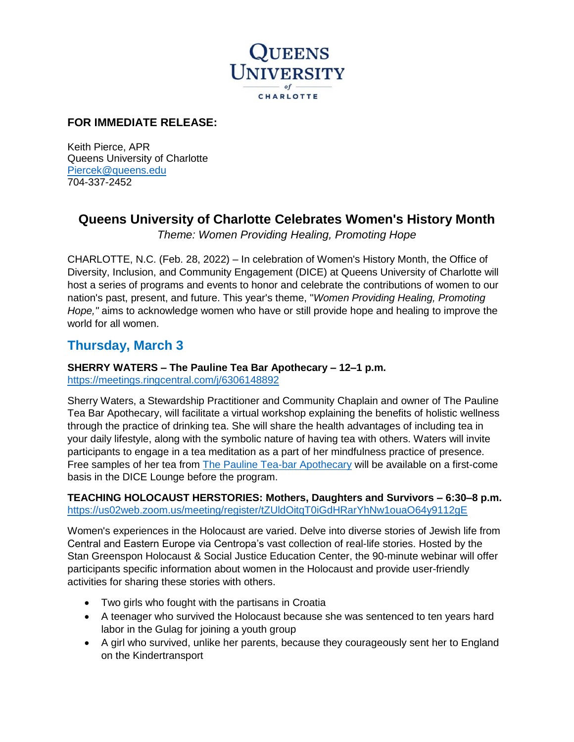

### **FOR IMMEDIATE RELEASE:**

Keith Pierce, APR Queens University of Charlotte [Piercek@queens.edu](mailto:Piercek@queens.edu) 704-337-2452

### **Queens University of Charlotte Celebrates Women's History Month**

*Theme: Women Providing Healing, Promoting Hope*

CHARLOTTE, N.C. (Feb. 28, 2022) – In celebration of Women's History Month, the Office of Diversity, Inclusion, and Community Engagement (DICE) at Queens University of Charlotte will host a series of programs and events to honor and celebrate the contributions of women to our nation's past, present, and future. This year's theme, "*Women Providing Healing, Promoting Hope,"* aims to acknowledge women who have or still provide hope and healing to improve the world for all women.

### **Thursday, March 3**

### **SHERRY WATERS – The Pauline Tea Bar Apothecary – 12–1 p.m.**

<https://meetings.ringcentral.com/j/6306148892>

Sherry Waters, a Stewardship Practitioner and Community Chaplain and owner of The Pauline Tea Bar Apothecary, will facilitate a virtual workshop explaining the benefits of holistic wellness through the practice of drinking tea. She will share the health advantages of including tea in your daily lifestyle, along with the symbolic nature of having tea with others. Waters will invite participants to engage in a tea meditation as a part of her mindfulness practice of presence. Free samples of her tea from [The Pauline Tea-bar Apothecary](https://www.thepaulineteabar.com/) will be available on a first-come basis in the DICE Lounge before the program.

#### **TEACHING HOLOCAUST HERSTORIES: Mothers, Daughters and Survivors – 6:30–8 p.m.**  <https://us02web.zoom.us/meeting/register/tZUldOitqT0iGdHRarYhNw1ouaO64y9112gE>

Women's experiences in the Holocaust are varied. Delve into diverse stories of Jewish life from Central and Eastern Europe via Centropa's vast collection of real-life stories. Hosted by the Stan Greenspon Holocaust & Social Justice Education Center, the 90-minute webinar will offer participants specific information about women in the Holocaust and provide user-friendly activities for sharing these stories with others.

- Two girls who fought with the partisans in Croatia
- A teenager who survived the Holocaust because she was sentenced to ten years hard labor in the Gulag for joining a youth group
- A girl who survived, unlike her parents, because they courageously sent her to England on the Kindertransport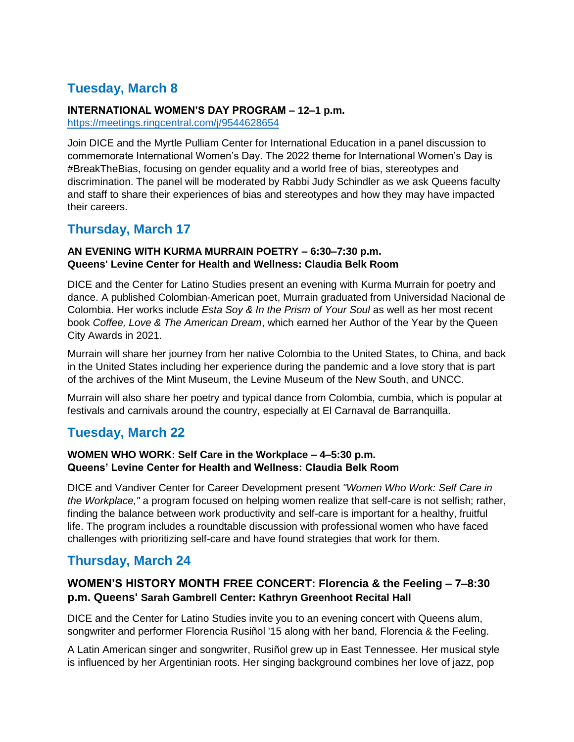# **Tuesday, March 8**

#### **INTERNATIONAL WOMEN'S DAY PROGRAM – 12–1 p.m.**

<https://meetings.ringcentral.com/j/9544628654>

Join DICE and the Myrtle Pulliam Center for International Education in a panel discussion to commemorate International Women's Day. The 2022 theme for International Women's Day is #BreakTheBias, focusing on gender equality and a world free of bias, stereotypes and discrimination. The panel will be moderated by Rabbi Judy Schindler as we ask Queens faculty and staff to share their experiences of bias and stereotypes and how they may have impacted their careers.

### **Thursday, March 17**

#### **AN EVENING WITH KURMA MURRAIN POETRY – 6:30–7:30 p.m. Queens' Levine Center for Health and Wellness: Claudia Belk Room**

DICE and the Center for Latino Studies present an evening with Kurma Murrain for poetry and dance. A published Colombian-American poet, Murrain graduated from Universidad Nacional de Colombia. Her works include *Esta Soy & In the Prism of Your Soul* as well as her most recent book *Coffee, Love & The American Dream*, which earned her Author of the Year by the Queen City Awards in 2021.

Murrain will share her journey from her native Colombia to the United States, to China, and back in the United States including her experience during the pandemic and a love story that is part of the archives of the Mint Museum, the Levine Museum of the New South, and UNCC.

Murrain will also share her poetry and typical dance from Colombia, cumbia, which is popular at festivals and carnivals around the country, especially at El Carnaval de Barranquilla.

# **Tuesday, March 22**

#### **WOMEN WHO WORK: Self Care in the Workplace – 4–5:30 p.m. Queens' Levine Center for Health and Wellness: Claudia Belk Room**

DICE and Vandiver Center for Career Development present *"Women Who Work: Self Care in the Workplace,"* a program focused on helping women realize that self-care is not selfish; rather, finding the balance between work productivity and self-care is important for a healthy, fruitful life. The program includes a roundtable discussion with professional women who have faced challenges with prioritizing self-care and have found strategies that work for them.

# **Thursday, March 24**

### **WOMEN'S HISTORY MONTH FREE CONCERT: Florencia & the Feeling – 7–8:30 p.m. Queens' Sarah Gambrell Center: Kathryn Greenhoot Recital Hall**

DICE and the Center for Latino Studies invite you to an evening concert with Queens alum, songwriter and performer Florencia Rusiñol '15 along with her band, Florencia & the Feeling.

A Latin American singer and songwriter, Rusiñol grew up in East Tennessee. Her musical style is influenced by her Argentinian roots. Her singing background combines her love of jazz, pop